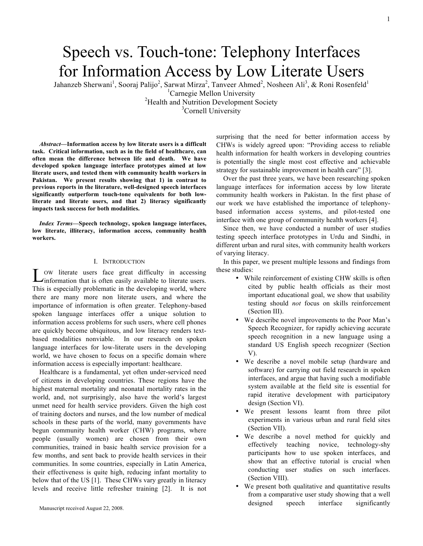# Speech vs. Touch-tone: Telephony Interfaces for Information Access by Low Literate Users

Jahanzeb Sherwani<sup>1</sup>, Sooraj Palijo<sup>2</sup>, Sarwat Mirza<sup>2</sup>, Tanveer Ahmed<sup>2</sup>, Nosheen Ali<sup>3</sup>, & Roni Rosenfeld<sup>1</sup> <sup>1</sup>Carnegie Mellon University <sup>2</sup>Health and Nutrition Development Society

<sup>3</sup>Cornell University

*Abstract***—Information access by low literate users is a difficult task. Critical information, such as in the field of healthcare, can often mean the difference between life and death. We have developed spoken language interface prototypes aimed at low literate users, and tested them with community health workers in Pakistan. We present results showing that 1) in contrast to previous reports in the literature, well-designed speech interfaces significantly outperform touch-tone equivalents for both lowliterate and literate users, and that 2) literacy significantly impacts task success for both modalities.**

*Index Terms***—Speech technology, spoken language interfaces, low literate, illiteracy, information access, community health workers.**

## I. INTRODUCTION

OW literate users face great difficulty in accessing L ow literate users face great difficulty in accessing information that is often easily available to literate users. This is especially problematic in the developing world, where there are many more non literate users, and where the importance of information is often greater. Telephony-based spoken language interfaces offer a unique solution to information access problems for such users, where cell phones are quickly become ubiquitous, and low literacy renders textbased modalities nonviable. In our research on spoken language interfaces for low-literate users in the developing world, we have chosen to focus on a specific domain where information access is especially important: healthcare.

Healthcare is a fundamental, yet often under-serviced need of citizens in developing countries. These regions have the highest maternal mortality and neonatal mortality rates in the world, and, not surprisingly, also have the world's largest unmet need for health service providers. Given the high cost of training doctors and nurses, and the low number of medical schools in these parts of the world, many governments have begun community health worker (CHW) programs, where people (usually women) are chosen from their own communities, trained in basic health service provision for a few months, and sent back to provide health services in their communities. In some countries, especially in Latin America, their effectiveness is quite high, reducing infant mortality to below that of the US [1]. These CHWs vary greatly in literacy levels and receive little refresher training [2]. It is not surprising that the need for better information access by CHWs is widely agreed upon: "Providing access to reliable health information for health workers in developing countries is potentially the single most cost effective and achievable strategy for sustainable improvement in health care" [3].

Over the past three years, we have been researching spoken language interfaces for information access by low literate community health workers in Pakistan. In the first phase of our work we have established the importance of telephonybased information access systems, and pilot-tested one interface with one group of community health workers [4].

Since then, we have conducted a number of user studies testing speech interface prototypes in Urdu and Sindhi, in different urban and rural sites, with community health workers of varying literacy.

In this paper, we present multiple lessons and findings from these studies:

- While reinforcement of existing CHW skills is often cited by public health officials as their most important educational goal, we show that usability testing should *not* focus on skills reinforcement (Section III).
- We describe novel improvements to the Poor Man's Speech Recognizer, for rapidly achieving accurate speech recognition in a new language using a standard US English speech recognizer (Section V).
- We describe a novel mobile setup (hardware and software) for carrying out field research in spoken interfaces, and argue that having such a modifiable system available at the field site is essential for rapid iterative development with participatory design (Section VI).
- We present lessons learnt from three pilot experiments in various urban and rural field sites (Section VII).
- We describe a novel method for quickly and effectively teaching novice, technology-shy participants how to use spoken interfaces, and show that an effective tutorial is crucial when conducting user studies on such interfaces. (Section VIII).
- We present both qualitative and quantitative results from a comparative user study showing that a well designed speech interface significantly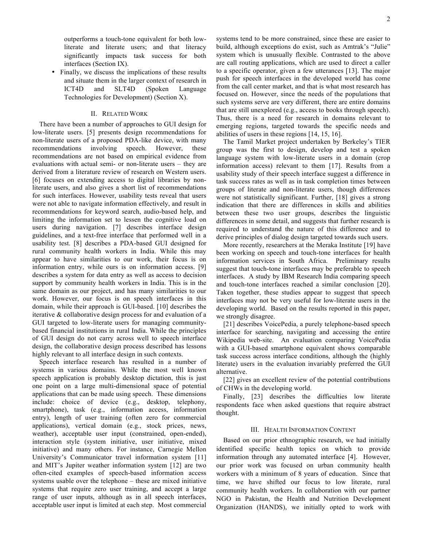outperforms a touch-tone equivalent for both lowliterate and literate users; and that literacy significantly impacts task success for both interfaces (Section IX).

Finally, we discuss the implications of these results and situate them in the larger context of research in ICT4D and SLT4D (Spoken Language Technologies for Development) (Section X).

# II. RELATED WORK

There have been a number of approaches to GUI design for low-literate users. [5] presents design recommendations for non-literate users of a proposed PDA-like device, with many recommendations involving speech. However, these recommendations are not based on empirical evidence from evaluations with actual semi- or non-literate users – they are derived from a literature review of research on Western users. [6] focuses on extending access to digital libraries by nonliterate users, and also gives a short list of recommendations for such interfaces. However, usability tests reveal that users were not able to navigate information effectively, and result in recommendations for keyword search, audio-based help, and limiting the information set to lessen the cognitive load on users during navigation. [7] describes interface design guidelines, and a text-free interface that performed well in a usability test. [8] describes a PDA-based GUI designed for rural community health workers in India. While this may appear to have similarities to our work, their focus is on information entry, while ours is on information access. [9] describes a system for data entry as well as access to decision support by community health workers in India. This is in the same domain as our project, and has many similarities to our work. However, our focus is on speech interfaces in this domain, while their approach is GUI-based. [10] describes the iterative & collaborative design process for and evaluation of a GUI targeted to low-literate users for managing communitybased financial institutions in rural India. While the principles of GUI design do not carry across well to speech interface design, the collaborative design process described has lessons highly relevant to all interface design in such contexts.

Speech interface research has resulted in a number of systems in various domains. While the most well known speech application is probably desktop dictation, this is just one point on a large multi-dimensional space of potential applications that can be made using speech. These dimensions include: choice of device (e.g., desktop, telephony, smartphone), task (e.g., information access, information entry), length of user training (often zero for commercial applications), vertical domain (e.g., stock prices, news, weather), acceptable user input (constrained, open-ended), interaction style (system initiative, user initiative, mixed initiative) and many others. For instance, Carnegie Mellon University's Communicator travel information system [11] and MIT's Jupiter weather information system [12] are two often-cited examples of speech-based information access systems usable over the telephone – these are mixed initiative systems that require zero user training, and accept a large range of user inputs, although as in all speech interfaces, acceptable user input is limited at each step. Most commercial systems tend to be more constrained, since these are easier to build, although exceptions do exist, such as Amtrak's "Julie" system which is unusually flexible. Contrasted to the above are call routing applications, which are used to direct a caller to a specific operator, given a few utterances [13]. The major push for speech interfaces in the developed world has come from the call center market, and that is what most research has focused on. However, since the needs of the populations that such systems serve are very different, there are entire domains that are still unexplored (e.g., access to books through speech). Thus, there is a need for research in domains relevant to emerging regions, targeted towards the specific needs and abilities of users in these regions [14, 15, 16].

The Tamil Market project undertaken by Berkeley's TIER group was the first to design, develop and test a spoken language system with low-literate users in a domain (crop information access) relevant to them [17]. Results from a usability study of their speech interface suggest a difference in task success rates as well as in task completion times between groups of literate and non-literate users, though differences were not statistically significant. Further, [18] gives a strong indication that there are differences in skills and abilities between these two user groups, describes the linguistic differences in some detail, and suggests that further research is required to understand the nature of this difference and to derive principles of dialog design targeted towards such users.

More recently, researchers at the Meraka Institute [19] have been working on speech and touch-tone interfaces for health information services in South Africa. Preliminary results suggest that touch-tone interfaces may be preferable to speech interfaces. A study by IBM Research India comparing speech and touch-tone interfaces reached a similar conclusion [20]. Taken together, these studies appear to suggest that speech interfaces may not be very useful for low-literate users in the developing world. Based on the results reported in this paper, we strongly disagree.

[21] describes VoicePedia, a purely telephone-based speech interface for searching, navigating and accessing the entire Wikipedia web-site. An evaluation comparing VoicePedia with a GUI-based smartphone equivalent shows comparable task success across interface conditions, although the (highly literate) users in the evaluation invariably preferred the GUI alternative.

[22] gives an excellent review of the potential contributions of CHWs in the developing world.

Finally, [23] describes the difficulties low literate respondents face when asked questions that require abstract thought.

#### III. HEALTH INFORMATION CONTENT

Based on our prior ethnographic research, we had initially identified specific health topics on which to provide information through any automated interface [4]. However, our prior work was focused on urban community health workers with a minimum of 8 years of education. Since that time, we have shifted our focus to low literate, rural community health workers. In collaboration with our partner NGO in Pakistan, the Health and Nutrition Development Organization (HANDS), we initially opted to work with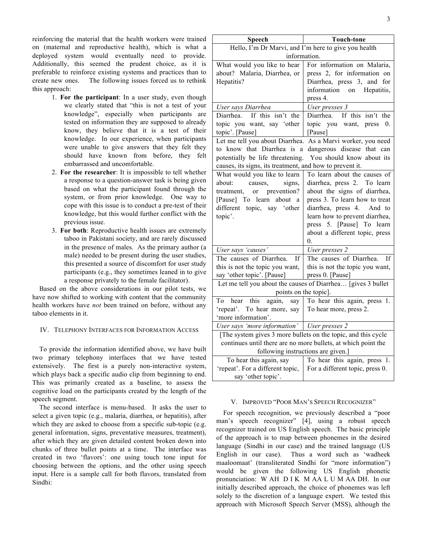reinforcing the material that the health workers were trained on (maternal and reproductive health), which is what a deployed system would eventually need to provide. Additionally, this seemed the prudent choice, as it is preferable to reinforce existing systems and practices than to create new ones. The following issues forced us to rethink this approach:

- 1. **For the participant**: In a user study, even though we clearly stated that "this is not a test of your knowledge", especially when participants are tested on information they are supposed to already know, they believe that it is a test of their knowledge. In our experience, when participants were unable to give answers that they felt they should have known from before, they felt embarrassed and uncomfortable.
- 2. **For the researcher**: It is impossible to tell whether a response to a question-answer task is being given based on what the participant found through the system, or from prior knowledge. One way to cope with this issue is to conduct a pre-test of their knowledge, but this would further conflict with the previous issue.
- 3. **For both**: Reproductive health issues are extremely taboo in Pakistani society, and are rarely discussed in the presence of males. As the primary author (a male) needed to be present during the user studies, this presented a source of discomfort for user study participants (e.g., they sometimes leaned in to give a response privately to the female facilitator).

Based on the above considerations in our pilot tests, we have now shifted to working with content that the community health workers have *not* been trained on before, without any taboo elements in it.

# IV. TELEPHONY INTERFACES FOR INFORMATION ACCESS

To provide the information identified above, we have built two primary telephony interfaces that we have tested extensively. The first is a purely non-interactive system, which plays back a specific audio clip from beginning to end. This was primarily created as a baseline, to assess the cognitive load on the participants created by the length of the speech segment.

The second interface is menu-based. It asks the user to select a given topic (e.g., malaria, diarrhea, or hepatitis), after which they are asked to choose from a specific sub-topic (e.g. general information, signs, preventative measures, treatment), after which they are given detailed content broken down into chunks of three bullet points at a time. The interface was created in two 'flavors': one using touch tone input for choosing between the options, and the other using speech input. Here is a sample call for both flavors, translated from Sindhi:

| <b>Speech</b>                                                 | <b>Touch-tone</b>               |  |  |  |
|---------------------------------------------------------------|---------------------------------|--|--|--|
| Hello, I'm Dr Marvi, and I'm here to give you health          |                                 |  |  |  |
| information.                                                  |                                 |  |  |  |
| What would you like to hear                                   | For information on Malaria,     |  |  |  |
| about? Malaria, Diarrhea, or                                  | press 2, for information on     |  |  |  |
| Hepatitis?                                                    | Diarrhea, press 3, and for      |  |  |  |
|                                                               | information on<br>Hepatitis,    |  |  |  |
|                                                               | press 4.                        |  |  |  |
| User says Diarrhea                                            | User presses 3                  |  |  |  |
| Diarrhea. If this isn't the                                   | Diarrhea. If this isn't the     |  |  |  |
| topic you want, say 'other                                    | topic you want, press 0.        |  |  |  |
| topic'. [Pause]                                               | [Pause]                         |  |  |  |
| Let me tell you about Diarrhea.                               | As a Marvi worker, you need     |  |  |  |
| to know that Diarrhea is<br>dangerous disease that can<br>a   |                                 |  |  |  |
| potentially be life threatening.<br>You should know about its |                                 |  |  |  |
| causes, its signs, its treatment, and how to prevent it.      |                                 |  |  |  |
| What would you like to learn                                  | To learn about the causes of    |  |  |  |
| about:<br>causes,<br>signs,                                   | diarrhea, press 2. To learn     |  |  |  |
| prevention?<br>treatment, or                                  | about the signs of diarrhea,    |  |  |  |
| [Pause] To learn about<br>a                                   | press 3. To learn how to treat  |  |  |  |
| different topic, say 'other                                   | diarrhea, press 4. And to       |  |  |  |
| topic'.                                                       | learn how to prevent diarrhea,  |  |  |  |
|                                                               | press 5. [Pause] To learn       |  |  |  |
|                                                               | about a different topic, press  |  |  |  |
|                                                               | $\overline{0}$ .                |  |  |  |
| User says 'causes'                                            | User presses 2                  |  |  |  |
| The causes of Diarrhea.<br>If                                 | The causes of Diarrhea.<br>If   |  |  |  |
| this is not the topic you want,                               | this is not the topic you want, |  |  |  |
| say 'other topic'. [Pause]<br>press 0. [Pause]                |                                 |  |  |  |
| Let me tell you about the causes of Diarrhea [gives 3 bullet  |                                 |  |  |  |
| points on the topic].                                         |                                 |  |  |  |
| hear this<br>again,<br>To<br>say                              | To hear this again, press 1.    |  |  |  |
| 'repeat'. To hear more, say                                   | To hear more, press 2.          |  |  |  |
| 'more information'.                                           |                                 |  |  |  |
| User says 'more information'                                  | User presses 2                  |  |  |  |
| [The system gives 3 more bullets on the topic, and this cycle |                                 |  |  |  |
| continues until there are no more bullets, at which point the |                                 |  |  |  |
| following instructions are given.]                            |                                 |  |  |  |
| To hear this again, say                                       | To hear this again, press 1.    |  |  |  |
| 'repeat'. For a different topic,                              | For a different topic, press 0. |  |  |  |
| say 'other topic'.                                            |                                 |  |  |  |

## V. IMPROVED "POOR MAN'S SPEECH RECOGNIZER"

For speech recognition, we previously described a "poor man's speech recognizer" [4], using a robust speech recognizer trained on US English speech. The basic principle of the approach is to map between phonemes in the desired language (Sindhi in our case) and the trained language (US English in our case). Thus a word such as 'wadheek maaloomaat' (transliterated Sindhi for "more information") would be given the following US English phonetic pronunciation: W AH D I K M AA L U M AA DH. In our initially described approach, the choice of phonemes was left solely to the discretion of a language expert. We tested this approach with Microsoft Speech Server (MSS), although the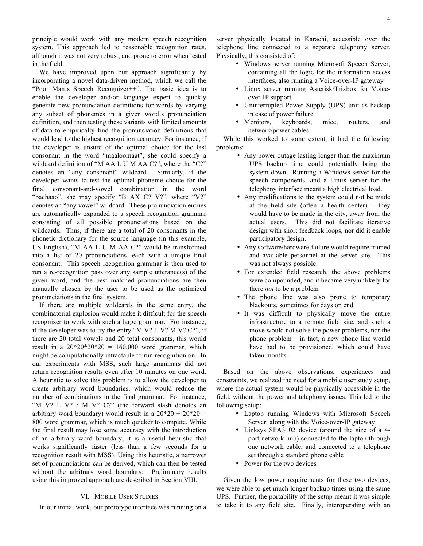principle would work with any modern speech recognition system. This approach led to reasonable recognition rates, although it was not very robust, and prone to error when tested in the field.

We have improved upon our approach significantly by incorporating a novel data-driven method, which we call the "Poor Man's Speech Recognizer++". The basic idea is to enable the developer and/or language expert to quickly generate new pronunciation definitions for words by varying any subset of phonemes in a given word's pronunciation definition, and then testing these variants with limited amounts of data to empirically find the pronunciation definitions that would lead to the highest recognition accuracy. For instance, if the developer is unsure of the optimal choice for the last consonant in the word "maaloomaat", she could specify a wildcard definition of "M AA L U M AA C?", where the "C?" denotes an "any consonant" wildcard. Similarly, if the developer wants to test the optimal phoneme choice for the final consonant-and-vowel combination in the word "bachaao", she may specify "B AX C? V?", where "V?" denotes an "any vowel" wildcard. These pronunciation entries are automatically expanded to a speech recognition grammar consisting of all possible pronunciations based on the wildcards. Thus, if there are a total of 20 consonants in the phonetic dictionary for the source language (in this example, US English), "M AA L U M AA C?" would be transformed into a list of 20 pronunciations, each with a unique final consonant. This speech recognition grammar is then used to run a re-recognition pass over any sample utterance(s) of the given word, and the best matched pronunciations are then manually chosen by the user to be used as the optimized pronunciations in the final system.

If there are multiple wildcards in the same entry, the combinatorial explosion would make it difficult for the speech recognizer to work with such a large grammar. For instance, if the developer was to try the entry "M V? L V? M V? C?", if there are 20 total vowels and 20 total consonants, this would result in a  $20*20*20*20 = 160,000$  word grammar, which might be computationally intractable to run recognition on. In our experiments with MSS, such large grammars did not return recognition results even after 10 minutes on one word. A heuristic to solve this problem is to allow the developer to create arbitrary word boundaries, which would reduce the number of combinations in the final grammar. For instance, "M V? L V? / M V? C?" (the forward slash denotes an arbitrary word boundary) would result in a  $20*20 + 20*20 =$ 800 word grammar, which is much quicker to compute. While the final result may lose some accuracy with the introduction of an arbitrary word boundary, it is a useful heuristic that works significantly faster (less than a few seconds for a recognition result with MSS). Using this heuristic, a narrower set of pronunciations can be derived, which can then be tested without the arbitrary word boundary. Preliminary results using this improved approach are described in Section VIII.

# VI. MOBILE USER STUDIES

In our initial work, our prototype interface was running on a

server physically located in Karachi, accessible over the telephone line connected to a separate telephony server. Physically, this consisted of:

- Windows server running Microsoft Speech Server, containing all the logic for the information access interfaces, also running a Voice-over-IP gateway
- Linux server running Asterisk/Trixbox for Voiceover-IP support
- Uninterrupted Power Supply (UPS) unit as backup in case of power failure
- Monitors, keyboards, mice, routers, and network/power cables

While this worked to some extent, it had the following problems:

- Any power outage lasting longer than the maximum UPS backup time could potentially bring the system down. Running a Windows server for the speech components, and a Linux server for the telephony interface meant a high electrical load.
- Any modifications to the system could not be made at the field site (often a health center) – they would have to be made in the city, away from the actual users. This did not facilitate iterative design with short feedback loops, nor did it enable participatory design.
- Any software/hardware failure would require trained and available personnel at the server site. This was not always possible.
- For extended field research, the above problems were compounded, and it became very unlikely for there *not* to be a problem
- The phone line was also prone to temporary blackouts, sometimes for days on end
- It was difficult to physically move the entire infrastructure to a remote field site, and such a move would not solve the power problems, nor the phone problem – in fact, a new phone line would have had to be provisioned, which could have taken months

Based on the above observations, experiences and constraints, we realized the need for a mobile user study setup, where the actual system would be physically accessible in the field, without the power and telephony issues. This led to the following setup:

- Laptop running Windows with Microsoft Speech Server, along with the Voice-over-IP gateway
- Linksys SPA3102 device (around the size of a 4 port network hub) connected to the laptop through one network cable, and connected to a telephone set through a standard phone cable
- Power for the two devices

Given the low power requirements for these two devices, we were able to get much longer backup times using the same UPS. Further, the portability of the setup meant it was simple to take it to any field site. Finally, interoperating with an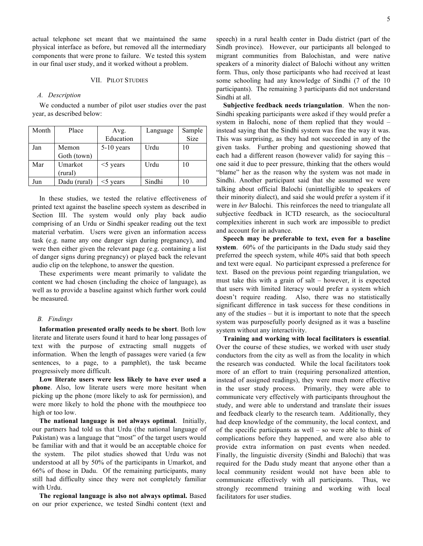actual telephone set meant that we maintained the same physical interface as before, but removed all the intermediary components that were prone to failure. We tested this system in our final user study, and it worked without a problem.

# VII. PILOT STUDIES

## *A. Description*

We conducted a number of pilot user studies over the past year, as described below:

| Place        | Avg.         | Language | Sample |
|--------------|--------------|----------|--------|
|              | Education    |          | Size   |
| Memon        | $5-10$ years | Urdu     | 10     |
| Goth (town)  |              |          |        |
| Umarkot      | $<$ 5 years  | Urdu     | 10     |
| (rural)      |              |          |        |
| Dadu (rural) | $<$ 5 years  | Sindhi   | 10     |
|              |              |          |        |

In these studies, we tested the relative effectiveness of printed text against the baseline speech system as described in Section III. The system would only play back audio comprising of an Urdu or Sindhi speaker reading out the text material verbatim. Users were given an information access task (e.g. name any one danger sign during pregnancy), and were then either given the relevant page (e.g. containing a list of danger signs during pregnancy) or played back the relevant audio clip on the telephone, to answer the question.

These experiments were meant primarily to validate the content we had chosen (including the choice of language), as well as to provide a baseline against which further work could be measured.

## *B. Findings*

**Information presented orally needs to be short**. Both low literate and literate users found it hard to hear long passages of text with the purpose of extracting small nuggets of information. When the length of passages were varied (a few sentences, to a page, to a pamphlet), the task became progressively more difficult.

**Low literate users were less likely to have ever used a phone**. Also, low literate users were more hesitant when picking up the phone (more likely to ask for permission), and were more likely to hold the phone with the mouthpiece too high or too low.

**The national language is not always optimal**. Initially, our partners had told us that Urdu (the national language of Pakistan) was a language that "most" of the target users would be familiar with and that it would be an acceptable choice for the system. The pilot studies showed that Urdu was not understood at all by 50% of the participants in Umarkot, and 66% of those in Dadu. Of the remaining participants, many still had difficulty since they were not completely familiar with Urdu.

**The regional language is also not always optimal.** Based on our prior experience, we tested Sindhi content (text and

speech) in a rural health center in Dadu district (part of the Sindh province). However, our participants all belonged to migrant communities from Balochistan, and were native speakers of a minority dialect of Balochi without any written form. Thus, only those participants who had received at least some schooling had any knowledge of Sindhi (7 of the 10 participants). The remaining 3 participants did not understand Sindhi at all.

**Subjective feedback needs triangulation**. When the non-Sindhi speaking participants were asked if they would prefer a system in Balochi, none of them replied that they would – instead saying that the Sindhi system was fine the way it was. This was surprising, as they had not succeeded in any of the given tasks. Further probing and questioning showed that each had a different reason (however valid) for saying this – one said it due to peer pressure, thinking that the others would "blame" her as the reason why the system was not made in Sindhi. Another participant said that she assumed we were talking about official Balochi (unintelligible to speakers of their minority dialect), and said she would prefer a system if it were in *her* Balochi. This reinforces the need to triangulate all subjective feedback in ICTD research, as the sociocultural complexities inherent in such work are impossible to predict and account for in advance.

**Speech may be preferable to text, even for a baseline system**. 60% of the participants in the Dadu study said they preferred the speech system, while 40% said that both speech and text were equal. No participant expressed a preference for text. Based on the previous point regarding triangulation, we must take this with a grain of salt – however, it is expected that users with limited literacy would prefer a system which doesn't require reading. Also, there was no statistically significant difference in task success for these conditions in any of the studies – but it is important to note that the speech system was purposefully poorly designed as it was a baseline system without any interactivity.

**Training and working with local facilitators is essential**. Over the course of these studies, we worked with user study conductors from the city as well as from the locality in which the research was conducted. While the local facilitators took more of an effort to train (requiring personalized attention, instead of assigned readings), they were much more effective in the user study process. Primarily, they were able to communicate very effectively with participants throughout the study, and were able to understand and translate their issues and feedback clearly to the research team. Additionally, they had deep knowledge of the community, the local context, and of the specific participants as well – so were able to think of complications before they happened, and were also able to provide extra information on past events when needed. Finally, the linguistic diversity (Sindhi and Balochi) that was required for the Dadu study meant that anyone other than a local community resident would not have been able to communicate effectively with all participants. Thus, we strongly recommend training and working with local facilitators for user studies.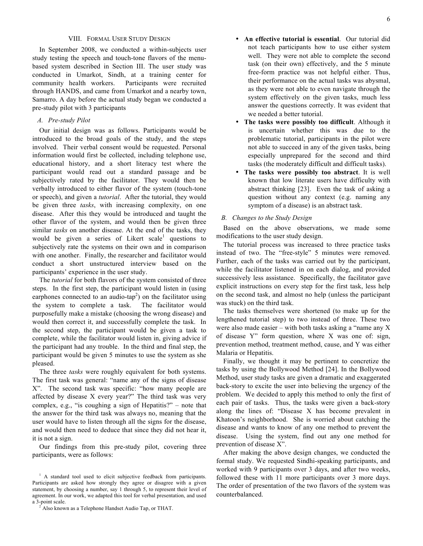#### VIII. FORMAL USER STUDY DESIGN

In September 2008, we conducted a within-subjects user study testing the speech and touch-tone flavors of the menubased system described in Section III. The user study was conducted in Umarkot, Sindh, at a training center for community health workers. Participants were recruited through HANDS, and came from Umarkot and a nearby town, Samarro. A day before the actual study began we conducted a pre-study pilot with 3 participants

# *A. Pre-study Pilot*

Our initial design was as follows. Participants would be introduced to the broad goals of the study, and the steps involved. Their verbal consent would be requested. Personal information would first be collected, including telephone use, educational history, and a short literacy test where the participant would read out a standard passage and be subjectively rated by the facilitator. They would then be verbally introduced to either flavor of the system (touch-tone or speech), and given a *tutorial*. After the tutorial, they would be given three *tasks*, with increasing complexity, on one disease. After this they would be introduced and taught the other flavor of the system, and would then be given three similar *tasks* on another disease. At the end of the tasks, they would be given a series of Likert scale<sup>1</sup> questions to subjectively rate the systems on their own and in comparison with one another. Finally, the researcher and facilitator would conduct a short unstructured interview based on the participants' experience in the user study.

The *tutorial* for both flavors of the system consisted of three steps. In the first step, the participant would listen in (using earphones connected to an audio-tap<sup>2</sup>) on the facilitator using the system to complete a task. The facilitator would purposefully make a mistake (choosing the wrong disease) and would then correct it, and successfully complete the task. In the second step, the participant would be given a task to complete, while the facilitator would listen in, giving advice if the participant had any trouble. In the third and final step, the participant would be given 5 minutes to use the system as she pleased.

The three *tasks* were roughly equivalent for both systems. The first task was general: "name any of the signs of disease X". The second task was specific: "how many people are affected by disease X every year?" The third task was very complex, e.g., "is coughing a sign of Hepatitis?" – note that the answer for the third task was always no, meaning that the user would have to listen through all the signs for the disease, and would then need to deduce that since they did not hear it, it is not a sign.

Our findings from this pre-study pilot, covering three participants, were as follows:

- **An effective tutorial is essential**. Our tutorial did not teach participants how to use either system well. They were not able to complete the second task (on their own) effectively, and the 5 minute free-form practice was not helpful either. Thus, their performance on the actual tasks was abysmal, as they were not able to even navigate through the system effectively on the given tasks, much less answer the questions correctly. It was evident that we needed a better tutorial.
- **The tasks were possibly too difficult**. Although it is uncertain whether this was due to the problematic tutorial, participants in the pilot were not able to succeed in any of the given tasks, being especially unprepared for the second and third tasks (the moderately difficult and difficult tasks).
- **The tasks were possibly too abstract**. It is well known that low literate users have difficulty with abstract thinking [23]. Even the task of asking a question without any context (e.g. naming any symptom of a disease) is an abstract task.

## *B. Changes to the Study Design*

Based on the above observations, we made some modifications to the user study design.

The tutorial process was increased to three practice tasks instead of two. The "free-style" 5 minutes were removed. Further, each of the tasks was carried out by the participant, while the facilitator listened in on each dialog, and provided successively less assistance. Specifically, the facilitator gave explicit instructions on every step for the first task, less help on the second task, and almost no help (unless the participant was stuck) on the third task.

The tasks themselves were shortened (to make up for the lengthened tutorial step) to two instead of three. These two were also made easier – with both tasks asking a "name any X of disease Y" form question, where X was one of: sign, prevention method, treatment method, cause, and Y was either Malaria or Hepatitis.

Finally, we thought it may be pertinent to concretize the tasks by using the Bollywood Method [24]. In the Bollywood Method, user study tasks are given a dramatic and exaggerated back-story to excite the user into believing the urgency of the problem. We decided to apply this method to only the first of each pair of tasks. Thus, the tasks were given a back-story along the lines of: "Disease X has become prevalent in Khatoon's neighborhood. She is worried about catching the disease and wants to know of any one method to prevent the disease. Using the system, find out any one method for prevention of disease X".

After making the above design changes, we conducted the formal study. We requested Sindhi-speaking participants, and worked with 9 participants over 3 days, and after two weeks, followed these with 11 more participants over 3 more days. The order of presentation of the two flavors of the system was counterbalanced.

<sup>&</sup>lt;sup>1</sup> A standard tool used to elicit subjective feedback from participants. Participants are asked how strongly they agree or disagree with a given statement, by choosing a number, say 1 through 5, to represent their level of agreement. In our work, we adapted this tool for verbal presentation, and used a 3-point scale.

<sup>2</sup> Also known as a Telephone Handset Audio Tap, or THAT.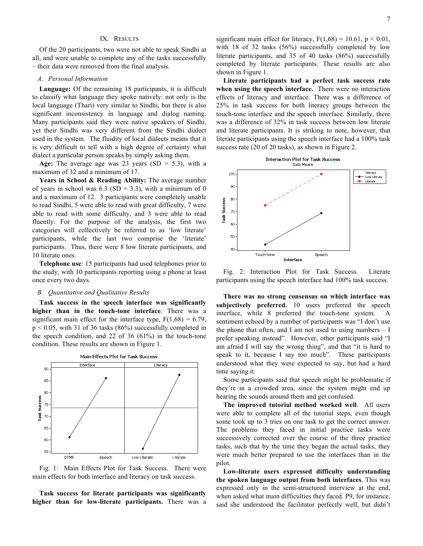# IX. RESULTS

Of the 20 participants, two were not able to speak Sindhi at all, and were unable to complete any of the tasks successfully – their data were removed from the final analysis.

## *A. Personal Information*

**Language:** Of the remaining 18 participants, it is difficult to classify what language they spoke natively: not only is the local language (Thari) very similar to Sindhi, but there is also significant inconsistency in language and dialog naming. Many participants said they were native speakers of Sindhi, yet their Sindhi was very different from the Sindhi dialect used in the system. The fluidity of local dialects means that it is very difficult to tell with a high degree of certainty what dialect a particular person speaks by simply asking them.

**Age:** The average age was 23 years  $(SD = 5.3)$ , with a maximum of 32 and a minimum of 17.

Years in School & Reading Ability: The average number of years in school was  $6.3$  (SD = 3.3), with a minimum of 0 and a maximum of 12. 3 participants were completely unable to read Sindhi, 5 were able to read with great difficulty, 7 were able to read with some difficulty, and 3 were able to read fluently. For the purpose of the analysis, the first two categories will collectively be referred to as 'low literate' participants, while the last two comprise the 'literate' participants. Thus, there were 8 low literate participants, and 10 literate ones.

**Telephone use**: 15 participants had used telephones prior to the study, with 10 participants reporting using a phone at least once every two days.

#### *B. Quantitative and Qualitative Results*

**Task success in the speech interface was significantly higher than in the touch-tone interface**. There was a significant main effect for the interface type,  $F(1,68) = 6.79$ ,  $p < 0.05$ , with 31 of 36 tasks (86%) successfully completed in the speech condition, and 22 of 36 (61%) in the touch-tone condition. These results are shown in Figure 1.



Fig. 1: Main Effects Plot for Task Success. There were main effects for both interface and literacy on task success.

**Task success for literate participants was significantly higher than for low-literate participants.** There was a significant main effect for literacy,  $F(1,68) = 10.61$ ,  $p < 0.01$ , with 18 of 32 tasks (56%) successfully completed by low literate participants, and 35 of 40 tasks (86%) successfully completed by literate participants. These results are also shown in Figure 1.

**Literate participants had a perfect task success rate when using the speech interface.** There were no interaction effects of literacy and interface. There was a difference of 25% in task success for both literacy groups between the touch-tone interface and the speech interface. Similarly, there was a difference of 32% in task success between low literate and literate participants. It is striking to note, however, that literate participants using the speech interface had a 100% task success rate (20 of 20 tasks), as shown in Figure 2.



Fig. 2: Interaction Plot for Task Success. Literate participants using the speech interface had 100% task success.

**There was no strong consensus on which interface was subjectively preferred.** 10 users preferred the speech interface, while 8 preferred the touch-tone system. A sentiment echoed by a number of participants was "I don't use the phone that often, and I am not used to using numbers  $- I$ prefer speaking instead". However, other participants said "I am afraid I will say the wrong thing", and that "it is hard to speak to it, because I say too much". These participants understood what they were expected to say, but had a hard time saying it.

Some participants said that speech might be problematic if they're in a crowded area, since the system might end up hearing the sounds around them and get confused.

**The improved tutorial method worked well**. All users were able to complete all of the tutorial steps, even though some took up to 3 tries on one task to get the correct answer. The problems they faced in initial practice tasks were successively corrected over the course of the three practice tasks, such that by the time they began the actual tasks, they were much better prepared to use the interfaces than in the pilot.

**Low-literate users expressed difficulty understanding the spoken language output from both interfaces**. This was expressed only in the semi-structured interview at the end, when asked what main difficulties they faced. P9, for instance, said she understood the facilitator perfectly well, but didn't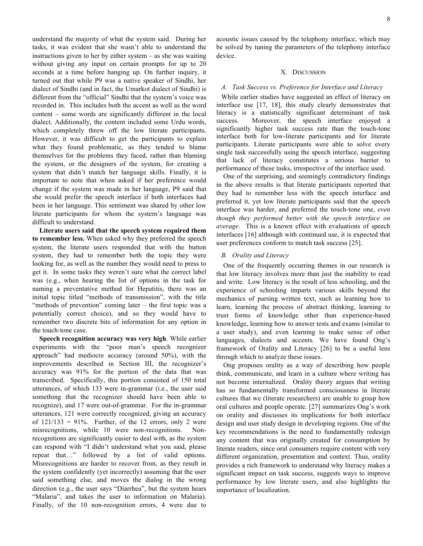understand the majority of what the system said. During her tasks, it was evident that she wasn't able to understand the instructions given to her by either system – as she was waiting without giving any input on certain prompts for up to 20 seconds at a time before hanging up. On further inquiry, it turned out that while P9 was a native speaker of Sindhi, her dialect of Sindhi (and in fact, the Umarkot dialect of Sindhi) is different from the "official" Sindhi that the system's voice was recorded in. This includes both the accent as well as the word content – some words are significantly different in the local dialect. Additionally, the content included some Urdu words, which completely threw off the low literate participants. However, it was difficult to get the participants to explain what they found problematic, as they tended to blame themselves for the problems they faced, rather than blaming the system, or the designers of the system, for creating a system that didn't match her language skills. Finally, it is important to note that when asked if her preference would change if the system was made in her language, P9 said that she would prefer the speech interface if both interfaces had been in her language. This sentiment was shared by other low literate participants for whom the system's language was difficult to understand.

**Literate users said that the speech system required them to remember less.** When asked why they preferred the speech system, the literate users responded that with the button system, they had to remember both the topic they were looking for, as well as the number they would need to press to get it. In some tasks they weren't sure what the correct label was (e.g., when hearing the list of options in the task for naming a preventative method for Hepatitis, there was an initial topic titled "methods of transmission", with the title "methods of prevention" coming later – the first topic was a potentially correct choice), and so they would have to remember two discrete bits of information for any option in the touch-tone case.

**Speech recognition accuracy was very high**. While earlier experiments with the "poor man's speech recognizer approach" had mediocre accuracy (around 50%), with the improvements described in Section III, the recognizer's accuracy was 91% for the portion of the data that was transcribed. Specifically, this portion consisted of 150 total utterances, of which 133 were in-grammar (i.e., the user said something that the recognizer should have been able to recognize), and 17 were out-of-grammar. For the in-grammar utterances, 121 were correctly recognized, giving an accuracy of  $121/133 = 91\%$ . Further, of the 12 errors, only 2 were misrecognitions, while 10 were non-recognitions. Nonrecognitions are significantly easier to deal with, as the system can respond with "I didn't understand what you said, please repeat that…" followed by a list of valid options. Misrecognitions are harder to recover from, as they result in the system confidently (yet incorrectly) assuming that the user said something else, and moves the dialog in the wrong direction (e.g., the user says "Diarrhea", but the system hears "Malaria", and takes the user to information on Malaria). Finally, of the 10 non-recognition errors, 4 were due to acoustic issues caused by the telephony interface, which may be solved by tuning the parameters of the telephony interface device.

#### X. DISCUSSION

# *A. Task Success vs. Preference for Interface and Literacy*

While earlier studies have suggested an effect of literacy on interface use [17, 18], this study clearly demonstrates that literacy is a statistically significant determinant of task success. Moreover, the speech interface enjoyed a significantly higher task success rate than the touch-tone interface both for low-literate participants and for literate participants. Literate participants were able to solve every single task successfully using the speech interface, suggesting that lack of literacy constitutes a serious barrier to performance of these tasks, irrespective of the interface used.

One of the surprising, and seemingly contradictory findings in the above results is that literate participants reported that they had to remember less with the speech interface and preferred it, yet low literate participants said that the speech interface was harder, and preferred the touch-tone one, *even though they performed better with the speech interface on average*. This is a known effect with evaluations of speech interfaces [16] although with continued use, it is expected that user preferences conform to match task success [25].

## *B. Orality and Literacy*

One of the frequently occurring themes in our research is that low literacy involves more than just the inability to read and write. Low literacy is the result of less schooling, and the experience of schooling imparts various skills beyond the mechanics of parsing written text, such as learning how to learn, learning the process of abstract thinking, learning to trust forms of knowledge other than experience-based knowledge, learning how to answer tests and exams (similar to a user study), and even learning to make sense of other languages, dialects and accents. We have found Ong's framework of Orality and Literacy [26] to be a useful lens through which to analyze these issues.

Ong proposes orality as a way of describing how people think, communicate, and learn in a culture where writing has not become internalized. Orality theory argues that writing has so fundamentally transformed consciousness in literate cultures that we (literate researchers) are unable to grasp how oral cultures and people operate. [27] summarizes Ong's work on orality and discusses its implications for both interface design and user study design in developing regions. One of the key recommendations is the need to fundamentally redesign any content that was originally created for consumption by literate readers, since oral consumers require content with very different organization, presentation and context. Thus, orality provides a rich framework to understand why literacy makes a significant impact on task success, suggests ways to improve performance by low literate users, and also highlights the importance of localization.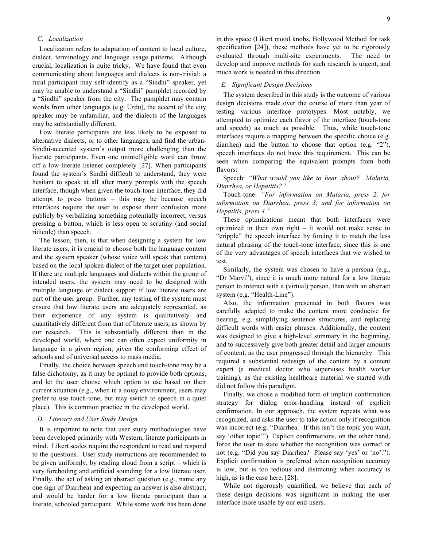# *C. Localization*

Localization refers to adaptation of content to local culture, dialect, terminology and language usage patterns. Although crucial, localization is quite tricky. We have found that even communicating about languages and dialects is non-trivial: a rural participant may self-identify as a "Sindhi" speaker, yet may be unable to understand a "Sindhi" pamphlet recorded by a "Sindhi" speaker from the city. The pamphlet may contain words from other languages (e.g. Urdu), the accent of the city speaker may be unfamiliar, and the dialects of the languages may be substantially different.

Low literate participants are less likely to be exposed to alternative dialects, or to other languages, and find the urban-Sindhi-accented system's output more challenging than the literate participants. Even one unintelligible word can throw off a low-literate listener completely [27]. When participants found the system's Sindhi difficult to understand, they were hesitant to speak at all after many prompts with the speech interface, though when given the touch-tone interface, they did attempt to press buttons – this may be because speech interfaces require the user to expose their confusion more publicly by verbalizing something potentially incorrect, versus pressing a button, which is less open to scrutiny (and social ridicule) than speech.

The lesson, then, is that when designing a system for low literate users, it is crucial to choose both the language content and the system speaker (whose voice will speak that content) based on the local spoken dialect of the target user population. If there are multiple languages and dialects within the group of intended users, the system may need to be designed with multiple language or dialect support if low literate users are part of the user group. Further, any testing of the system must ensure that low literate users are adequately represented, as their experience of any system is qualitatively and quantitatively different from that of literate users, as shown by our research. This is substantially different than in the developed world, where one can often expect uniformity in language in a given region, given the conforming effect of schools and of universal access to mass media.

Finally, the choice between speech and touch-tone may be a false dichotomy, as it may be optimal to provide both options, and let the user choose which option to use based on their current situation (e.g., when in a noisy environment, users may prefer to use touch-tone, but may switch to speech in a quiet place). This is common practice in the developed world.

#### *D. Literacy and User Study Design*

It is important to note that user study methodologies have been developed primarily with Western, literate participants in mind. Likert scales require the respondent to read and respond to the questions. User study instructions are recommended to be given uniformly, by reading aloud from a script – which is very foreboding and artificial sounding for a low literate user. Finally, the act of asking an abstract question (e.g., name any one sign of Diarrhea) and expecting an answer is also abstract, and would be harder for a low literate participant than a literate, schooled participant. While some work has been done in this space (Likert mood knobs, Bollywood Method for task specification [24]), these methods have yet to be rigorously evaluated through multi-site experiments. The need to develop and improve methods for such research is urgent, and much work is needed in this direction.

#### *E. Significant Design Decisions*

The system described in this study is the outcome of various design decisions made over the course of more than year of testing various interface prototypes. Most notably, we attempted to optimize each flavor of the interface (touch-tone and speech) as much as possible. Thus, while touch-tone interfaces require a mapping between the specific choice (e.g. diarrhea) and the button to choose that option (e.g. "2"), speech interfaces do not have this requirement. This can be seen when comparing the equivalent prompts from both flavors:

Speech: *"What would you like to hear about? Malaria, Diarrhea, or Hepatitis?"*

Touch-tone: *"For information on Malaria, press 2, for information on Diarrhea, press 3, and for information on Hepatitis, press 4."*

These optimizations meant that both interfaces were optimized in their own right – it would not make sense to "cripple" the speech interface by forcing it to match the less natural phrasing of the touch-tone interface, since this is one of the very advantages of speech interfaces that we wished to test.

Similarly, the system was chosen to have a persona (e.g., "Dr Marvi"), since it is much more natural for a low literate person to interact with a (virtual) person, than with an abstract system (e.g. "Health-Line").

Also, the information presented in both flavors was carefully adapted to make the content more conducive for hearing, e.g. simplifying sentence structures, and replacing difficult words with easier phrases. Additionally, the content was designed to give a high-level summary in the beginning, and to successively give both greater detail and larger amounts of content, as the user progressed through the hierarchy. This required a substantial redesign of the content by a content expert (a medical doctor who supervises health worker training), as the existing healthcare material we started with did not follow this paradigm.

Finally, we chose a modified form of implicit confirmation strategy for dialog error-handling instead of explicit confirmation. In our approach, the system repeats what was recognized, and asks the user to take action only if recognition was incorrect (e.g. "Diarrhea. If this isn't the topic you want, say 'other topic'"). Explicit confirmations, on the other hand, force the user to state whether the recognition was correct or not (e.g. "Did you say Diarrhea? Please say 'yes' or 'no'."). Explicit confirmation is preferred when recognition accuracy is low, but is too tedious and distracting when accuracy is high, as is the case here. [28].

While not rigorously quantified, we believe that each of these design decisions was significant in making the user interface more usable by our end-users.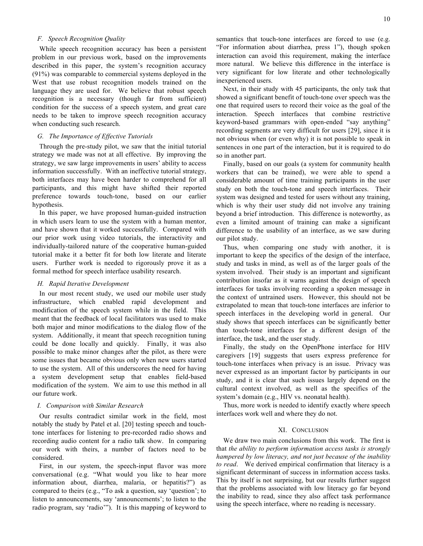# *F. Speech Recognition Quality*

While speech recognition accuracy has been a persistent problem in our previous work, based on the improvements described in this paper, the system's recognition accuracy (91%) was comparable to commercial systems deployed in the West that use robust recognition models trained on the language they are used for. We believe that robust speech recognition is a necessary (though far from sufficient) condition for the success of a speech system, and great care needs to be taken to improve speech recognition accuracy when conducting such research.

## *G. The Importance of Effective Tutorials*

Through the pre-study pilot, we saw that the initial tutorial strategy we made was not at all effective. By improving the strategy, we saw large improvements in users' ability to access information successfully. With an ineffective tutorial strategy, both interfaces may have been harder to comprehend for all participants, and this might have shifted their reported preference towards touch-tone, based on our earlier hypothesis.

In this paper, we have proposed human-guided instruction in which users learn to use the system with a human mentor, and have shown that it worked successfully. Compared with our prior work using video tutorials, the interactivity and individually-tailored nature of the cooperative human-guided tutorial make it a better fit for both low literate and literate users. Further work is needed to rigorously prove it as a formal method for speech interface usability research.

## *H. Rapid Iterative Development*

In our most recent study, we used our mobile user study infrastructure, which enabled rapid development and modification of the speech system while in the field. This meant that the feedback of local facilitators was used to make both major and minor modifications to the dialog flow of the system. Additionally, it meant that speech recognition tuning could be done locally and quickly. Finally, it was also possible to make minor changes after the pilot, as there were some issues that became obvious only when new users started to use the system. All of this underscores the need for having a system development setup that enables field-based modification of the system. We aim to use this method in all our future work.

#### *I. Comparison with Similar Research*

Our results contradict similar work in the field, most notably the study by Patel et al. [20] testing speech and touchtone interfaces for listening to pre-recorded radio shows and recording audio content for a radio talk show. In comparing our work with theirs, a number of factors need to be considered.

First, in our system, the speech-input flavor was more conversational (e.g. "What would you like to hear more information about, diarrhea, malaria, or hepatitis?") as compared to theirs (e.g., "To ask a question, say 'question'; to listen to announcements, say 'announcements'; to listen to the radio program, say 'radio'"). It is this mapping of keyword to

semantics that touch-tone interfaces are forced to use (e.g. "For information about diarrhea, press 1"), though spoken interaction can avoid this requirement, making the interface more natural. We believe this difference in the interface is very significant for low literate and other technologically inexperienced users.

Next, in their study with 45 participants, the only task that showed a significant benefit of touch-tone over speech was the one that required users to record their voice as the goal of the interaction. Speech interfaces that combine restrictive keyword-based grammars with open-ended "say anything" recording segments are very difficult for users [29], since it is not obvious when (or even why) it is not possible to speak in sentences in one part of the interaction, but it is required to do so in another part.

Finally, based on our goals (a system for community health workers that can be trained), we were able to spend a considerable amount of time training participants in the user study on both the touch-tone and speech interfaces. Their system was designed and tested for users without any training, which is why their user study did not involve any training beyond a brief introduction. This difference is noteworthy, as even a limited amount of training can make a significant difference to the usability of an interface, as we saw during our pilot study.

Thus, when comparing one study with another, it is important to keep the specifics of the design of the interface, study and tasks in mind, as well as of the larger goals of the system involved. Their study is an important and significant contribution insofar as it warns against the design of speech interfaces for tasks involving recording a spoken message in the context of untrained users. However, this should not be extrapolated to mean that touch-tone interfaces are inferior to speech interfaces in the developing world in general. Our study shows that speech interfaces can be significantly better than touch-tone interfaces for a different design of the interface, the task, and the user study.

Finally, the study on the OpenPhone interface for HIV caregivers [19] suggests that users express preference for touch-tone interfaces when privacy is an issue. Privacy was never expressed as an important factor by participants in our study, and it is clear that such issues largely depend on the cultural context involved, as well as the specifics of the system's domain (e.g., HIV vs. neonatal health).

Thus, more work is needed to identify exactly where speech interfaces work well and where they do not.

#### XI. CONCLUSION

We draw two main conclusions from this work. The first is that *the ability to perform information access tasks is strongly hampered by low literacy, and not just because of the inability to read*. We derived empirical confirmation that literacy is a significant determinant of success in information access tasks. This by itself is not surprising, but our results further suggest that the problems associated with low literacy go far beyond the inability to read, since they also affect task performance using the speech interface, where no reading is necessary.